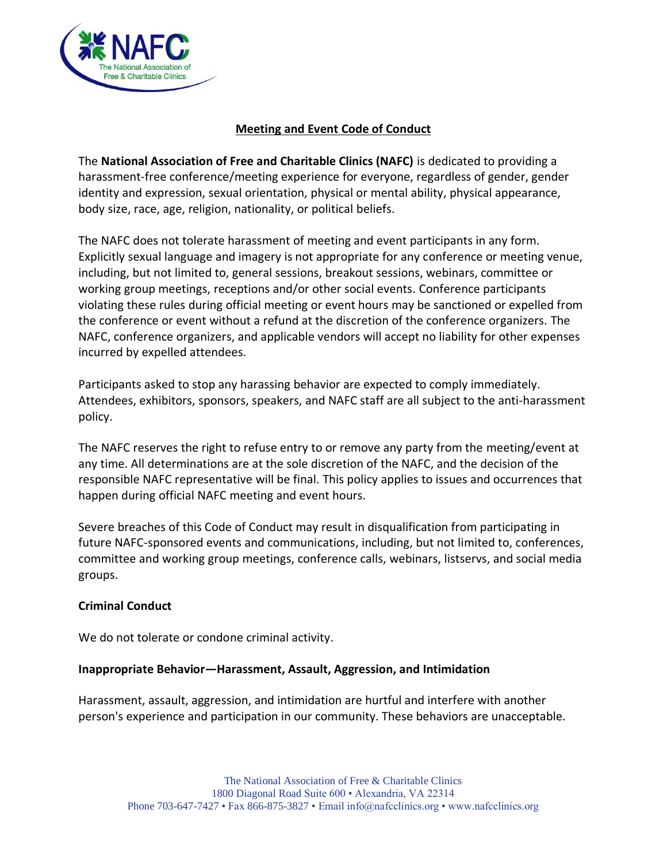

# **Meeting and Event Code of Conduct**

The **National Association of Free and Charitable Clinics (NAFC)** is dedicated to providing a harassment-free conference/meeting experience for everyone, regardless of gender, gender identity and expression, sexual orientation, physical or mental ability, physical appearance, body size, race, age, religion, nationality, or political beliefs.

The NAFC does not tolerate harassment of meeting and event participants in any form. Explicitly sexual language and imagery is not appropriate for any conference or meeting venue, including, but not limited to, general sessions, breakout sessions, webinars, committee or working group meetings, receptions and/or other social events. Conference participants violating these rules during official meeting or event hours may be sanctioned or expelled from the conference or event without a refund at the discretion of the conference organizers. The NAFC, conference organizers, and applicable vendors will accept no liability for other expenses incurred by expelled attendees.

Participants asked to stop any harassing behavior are expected to comply immediately. Attendees, exhibitors, sponsors, speakers, and NAFC staff are all subject to the anti-harassment policy.

The NAFC reserves the right to refuse entry to or remove any party from the meeting/event at any time. All determinations are at the sole discretion of the NAFC, and the decision of the responsible NAFC representative will be final. This policy applies to issues and occurrences that happen during official NAFC meeting and event hours.

Severe breaches of this Code of Conduct may result in disqualification from participating in future NAFC-sponsored events and communications, including, but not limited to, conferences, committee and working group meetings, conference calls, webinars, listservs, and social media groups.

# **Criminal Conduct**

We do not tolerate or condone criminal activity.

### **Inappropriate Behavior—Harassment, Assault, Aggression, and Intimidation**

Harassment, assault, aggression, and intimidation are hurtful and interfere with another person's experience and participation in our community. These behaviors are unacceptable.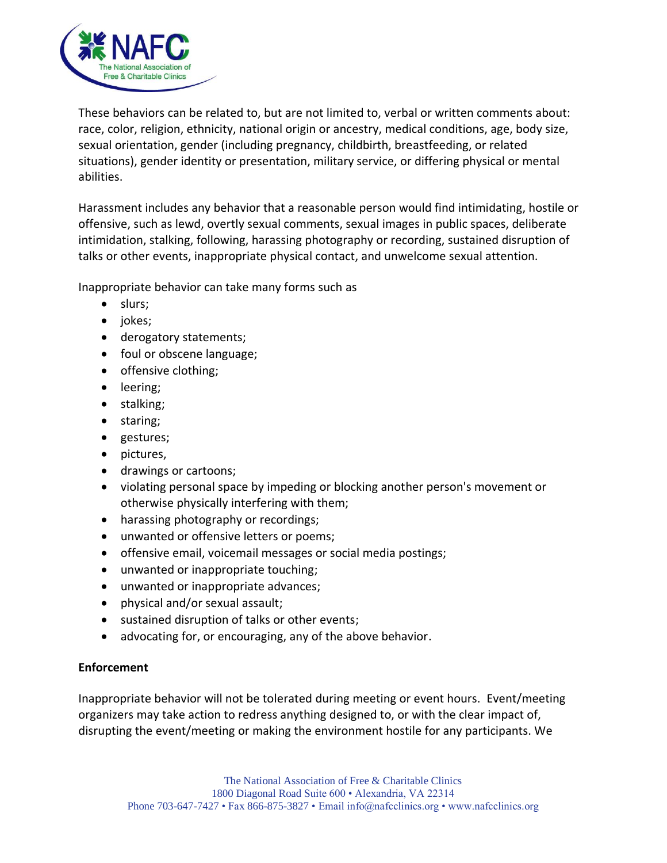

These behaviors can be related to, but are not limited to, verbal or written comments about: race, color, religion, ethnicity, national origin or ancestry, medical conditions, age, body size, sexual orientation, gender (including pregnancy, childbirth, breastfeeding, or related situations), gender identity or presentation, military service, or differing physical or mental abilities.

Harassment includes any behavior that a reasonable person would find intimidating, hostile or offensive, such as lewd, overtly sexual comments, sexual images in public spaces, deliberate intimidation, stalking, following, harassing photography or recording, sustained disruption of talks or other events, inappropriate physical contact, and unwelcome sexual attention.

Inappropriate behavior can take many forms such as

- slurs;
- jokes;
- derogatory statements;
- foul or obscene language;
- offensive clothing;
- leering;
- stalking;
- staring;
- gestures;
- pictures,
- drawings or cartoons;
- violating personal space by impeding or blocking another person's movement or otherwise physically interfering with them;
- harassing photography or recordings;
- unwanted or offensive letters or poems;
- offensive email, voicemail messages or social media postings;
- unwanted or inappropriate touching;
- unwanted or inappropriate advances;
- physical and/or sexual assault;
- sustained disruption of talks or other events;
- advocating for, or encouraging, any of the above behavior.

# **Enforcement**

Inappropriate behavior will not be tolerated during meeting or event hours. Event/meeting organizers may take action to redress anything designed to, or with the clear impact of, disrupting the event/meeting or making the environment hostile for any participants. We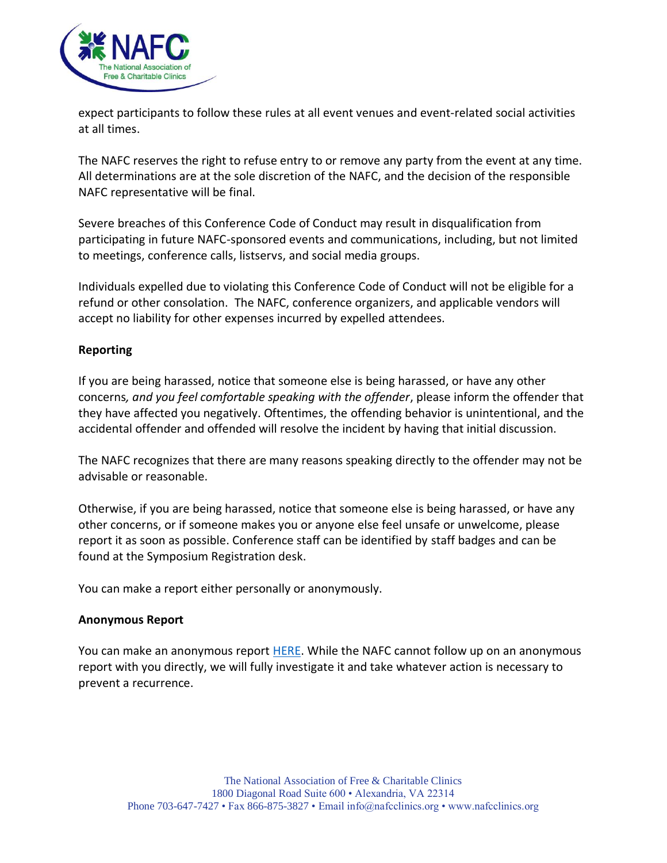

expect participants to follow these rules at all event venues and event-related social activities at all times.

The NAFC reserves the right to refuse entry to or remove any party from the event at any time. All determinations are at the sole discretion of the NAFC, and the decision of the responsible NAFC representative will be final.

Severe breaches of this Conference Code of Conduct may result in disqualification from participating in future NAFC-sponsored events and communications, including, but not limited to meetings, conference calls, listservs, and social media groups.

Individuals expelled due to violating this Conference Code of Conduct will not be eligible for a refund or other consolation. The NAFC, conference organizers, and applicable vendors will accept no liability for other expenses incurred by expelled attendees.

# **Reporting**

If you are being harassed, notice that someone else is being harassed, or have any other concerns*, and you feel comfortable speaking with the offender*, please inform the offender that they have affected you negatively. Oftentimes, the offending behavior is unintentional, and the accidental offender and offended will resolve the incident by having that initial discussion.

The NAFC recognizes that there are many reasons speaking directly to the offender may not be advisable or reasonable.

Otherwise, if you are being harassed, notice that someone else is being harassed, or have any other concerns, or if someone makes you or anyone else feel unsafe or unwelcome, please report it as soon as possible. Conference staff can be identified by staff badges and can be found at the Symposium Registration desk.

You can make a report either personally or anonymously.

### **Anonymous Report**

You can make an anonymous report [HERE.](https://www.emailmeform.com/builder/form/2v9tebYy318dgfRV4d9DGwEz?_ga=2.90374172.720125562.1520292361-585395230.1504116809) While the NAFC cannot follow up on an anonymous report with you directly, we will fully investigate it and take whatever action is necessary to prevent a recurrence.